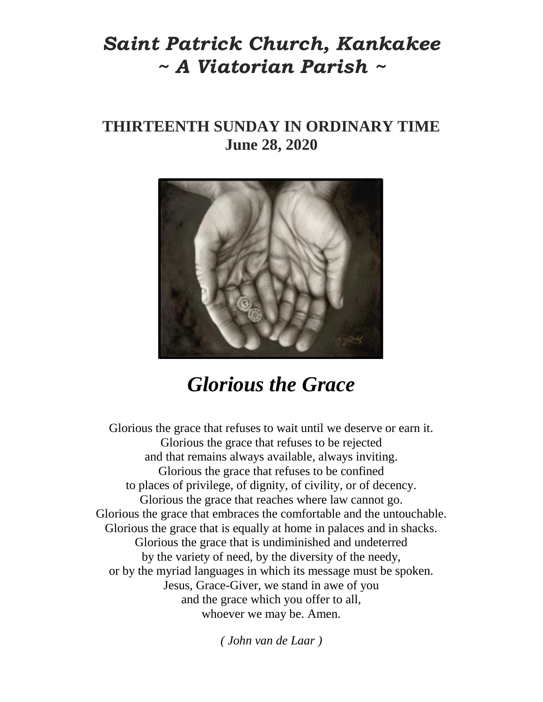## *Saint Patrick Church, Kankakee ~ A Viatorian Parish ~*

## **THIRTEENTH SUNDAY IN ORDINARY TIME June 28, 2020**



# *Glorious the Grace*

Glorious the grace that refuses to wait until we deserve or earn it. Glorious the grace that refuses to be rejected and that remains always available, always inviting. Glorious the grace that refuses to be confined to places of privilege, of dignity, of civility, or of decency. Glorious the grace that reaches where law cannot go. Glorious the grace that embraces the comfortable and the untouchable. Glorious the grace that is equally at home in palaces and in shacks. Glorious the grace that is undiminished and undeterred by the variety of need, by the diversity of the needy, or by the myriad languages in which its message must be spoken. Jesus, Grace-Giver, we stand in awe of you and the grace which you offer to all, whoever we may be. Amen.

*( John van de Laar )*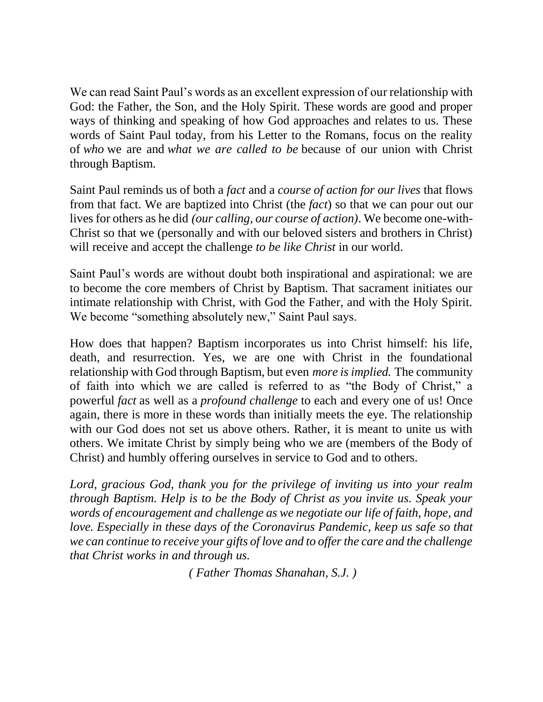We can read Saint Paul's words as an excellent expression of our relationship with God: the Father, the Son, and the Holy Spirit. These words are good and proper ways of thinking and speaking of how God approaches and relates to us. These words of Saint Paul today, from his Letter to the Romans, focus on the reality of *who* we are and *what we are called to be* because of our union with Christ through Baptism.

Saint Paul reminds us of both a *fact* and a *course of action for our lives* that flows from that fact. We are baptized into Christ (the *fact*) so that we can pour out our lives for others as he did *(our calling, our course of action)*. We become one-with-Christ so that we (personally and with our beloved sisters and brothers in Christ) will receive and accept the challenge *to be like Christ* in our world.

Saint Paul's words are without doubt both inspirational and aspirational: we are to become the core members of Christ by Baptism. That sacrament initiates our intimate relationship with Christ, with God the Father, and with the Holy Spirit. We become "something absolutely new," Saint Paul says.

How does that happen? Baptism incorporates us into Christ himself: his life, death, and resurrection. Yes, we are one with Christ in the foundational relationship with God through Baptism, but even *more is implied.* The community of faith into which we are called is referred to as "the Body of Christ," a powerful *fact* as well as a *profound challenge* to each and every one of us! Once again, there is more in these words than initially meets the eye. The relationship with our God does not set us above others. Rather, it is meant to unite us with others. We imitate Christ by simply being who we are (members of the Body of Christ) and humbly offering ourselves in service to God and to others.

*Lord, gracious God, thank you for the privilege of inviting us into your realm through Baptism. Help is to be the Body of Christ as you invite us. Speak your words of encouragement and challenge as we negotiate our life of faith, hope, and love. Especially in these days of the Coronavirus Pandemic, keep us safe so that we can continue to receive your gifts of love and to offer the care and the challenge that Christ works in and through us.*

*( Father Thomas Shanahan, S.J. )*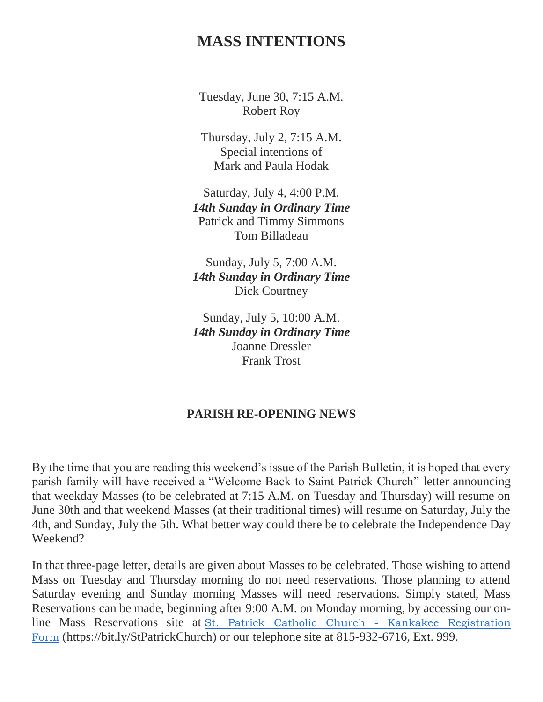### **MASS INTENTIONS**

Tuesday, June 30, 7:15 A.M. Robert Roy

Thursday, July 2, 7:15 A.M. Special intentions of Mark and Paula Hodak

Saturday, July 4, 4:00 P.M. *14th Sunday in Ordinary Time* Patrick and Timmy Simmons Tom Billadeau

Sunday, July 5, 7:00 A.M. *14th Sunday in Ordinary Time* Dick Courtney

Sunday, July 5, 10:00 A.M. *14th Sunday in Ordinary Time* Joanne Dressler Frank Trost

#### **PARISH RE-OPENING NEWS**

By the time that you are reading this weekend's issue of the Parish Bulletin, it is hoped that every parish family will have received a "Welcome Back to Saint Patrick Church" letter announcing that weekday Masses (to be celebrated at 7:15 A.M. on Tuesday and Thursday) will resume on June 30th and that weekend Masses (at their traditional times) will resume on Saturday, July the 4th, and Sunday, July the 5th. What better way could there be to celebrate the Independence Day Weekend?

In that three-page letter, details are given about Masses to be celebrated. Those wishing to attend Mass on Tuesday and Thursday morning do not need reservations. Those planning to attend Saturday evening and Sunday morning Masses will need reservations. Simply stated, Mass Reservations can be made, beginning after 9:00 A.M. on Monday morning, by accessing our online Mass Reservations site at [St. Patrick Catholic Church -](https://bit.ly/StPatrickChurch) Kankakee Registration [Form](https://bit.ly/StPatrickChurch) (https://bit.ly/StPatrickChurch) or our telephone site at 815-932-6716, Ext. 999.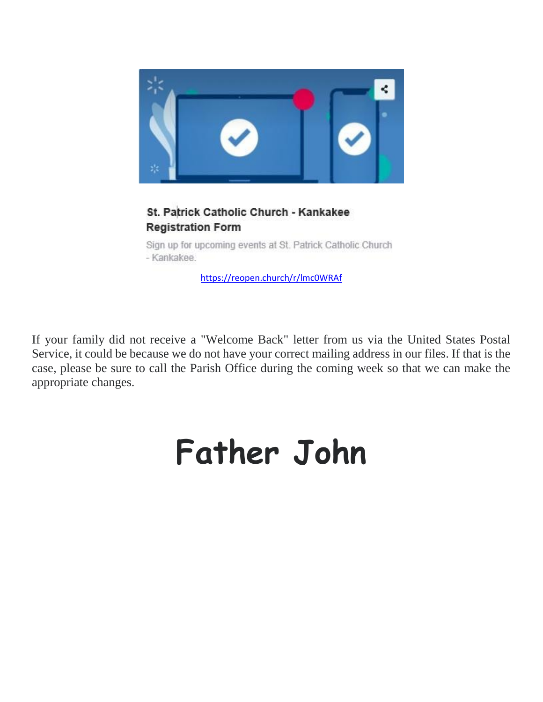

#### St. Patrick Catholic Church - Kankakee **Registration Form**

Sign up for upcoming events at St. Patrick Catholic Church - Kankakee.

<https://reopen.church/r/lmc0WRAf>

If your family did not receive a "Welcome Back" letter from us via the United States Postal Service, it could be because we do not have your correct mailing address in our files. If that is the case, please be sure to call the Parish Office during the coming week so that we can make the appropriate changes.

# **Father John**